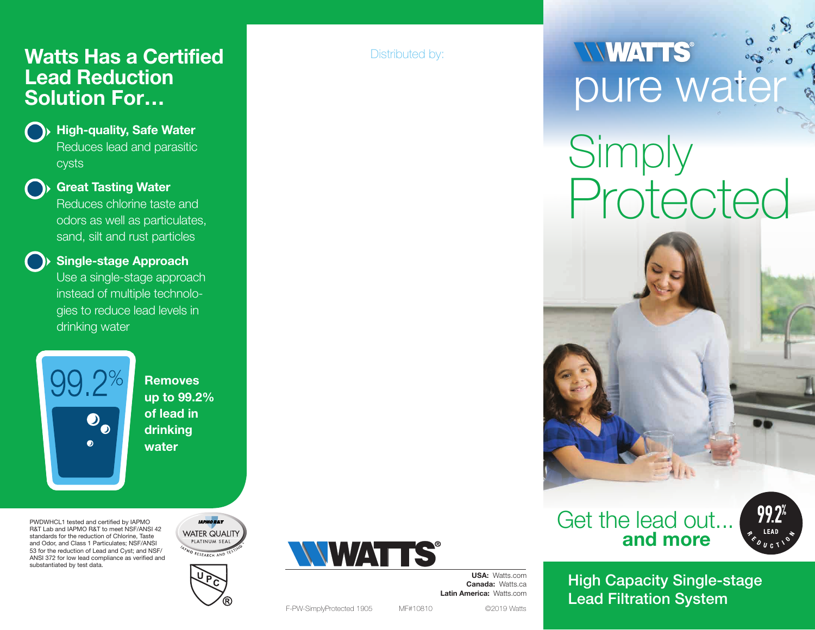#### Watts Has a Certified Lead Reduction Solution For…



#### High-quality, Safe Water Reduces lead and parasitic

cysts



#### Great Tasting Water

Reduces chlorine taste and odors as well as particulates, sand, silt and rust particles



#### Single-stage Approach

Use a single-stage approach instead of multiple technologies to reduce lead levels in drinking water



Removes up to 99.2% of lead in drinking water

PWDWHCL1 tested and certified by IAPMO R&T Lab and IAPMO R&T to meet NSF/ANSI 42 standards for the reduction of Chlorine, Taste and Odor, and Class 1 Particulates; NSF/ANSI 53 for the reduction of Lead and Cyst; and NSF/ ANSI 372 for low lead compliance as verified and substantiated by test data.





Distributed by:

# **NWATTS**

## **Simply** Protected





USA: Watts.com Canada: Watts.ca Latin America: Watts.com

High Capacity Single-stage Lead Filtration System



F-PW-SimplyProtected 1905 MF#10810 ©2019 Watts

**WATTS®**